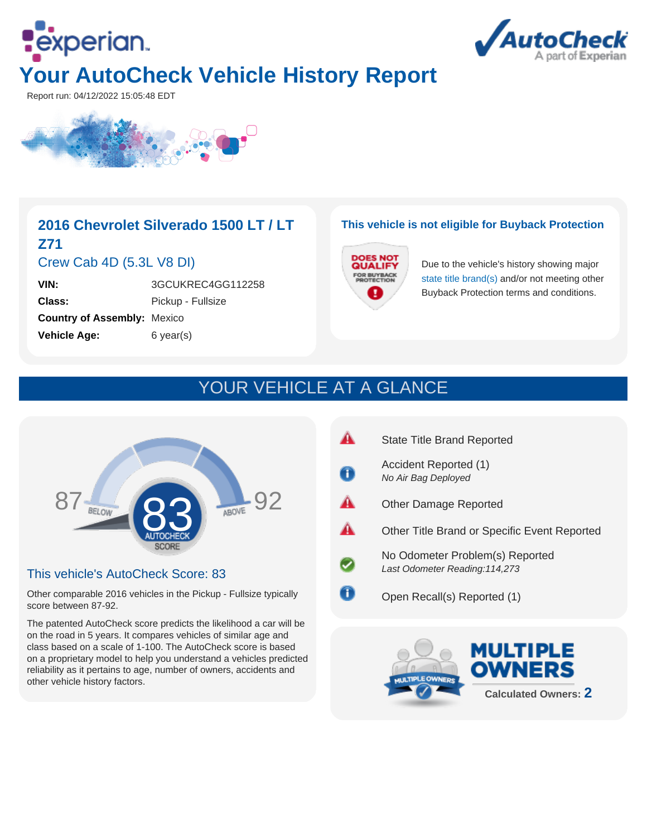



Report run: 04/12/2022 15:05:48 EDT



# **2016 Chevrolet Silverado 1500 LT / LT Z71**

Crew Cab 4D (5.3L V8 DI)

**Vehicle Age:** 6 year(s)

**VIN:** 3GCUKREC4GG112258 **Class:** Pickup - Fullsize **Country of Assembly:** Mexico

### **This vehicle is not eligible for Buyback Protection**



Due to the vehicle's history showing major state title brand(s) and/or not meeting other Buyback Protection terms and conditions.

# YOUR VEHICLE AT A GLANCE



### This vehicle's AutoCheck Score: 83

Other comparable 2016 vehicles in the Pickup - Fullsize typically score between 87-92.

The patented AutoCheck score predicts the likelihood a car will be on the road in 5 years. It compares vehicles of similar age and class based on a scale of 1-100. The AutoCheck score is based on a proprietary model to help you understand a vehicles predicted reliability as it pertains to age, number of owners, accidents and other vehicle history factors.

| <b>State Title Brand Reported</b>                                 |
|-------------------------------------------------------------------|
| Accident Reported (1)<br>No Air Bag Deployed                      |
| <b>Other Damage Reported</b>                                      |
| Other Title Brand or Specific Event Reported                      |
| No Odometer Problem(s) Reported<br>Last Odometer Reading: 114,273 |
| Open Recall(s) Reported (1)                                       |

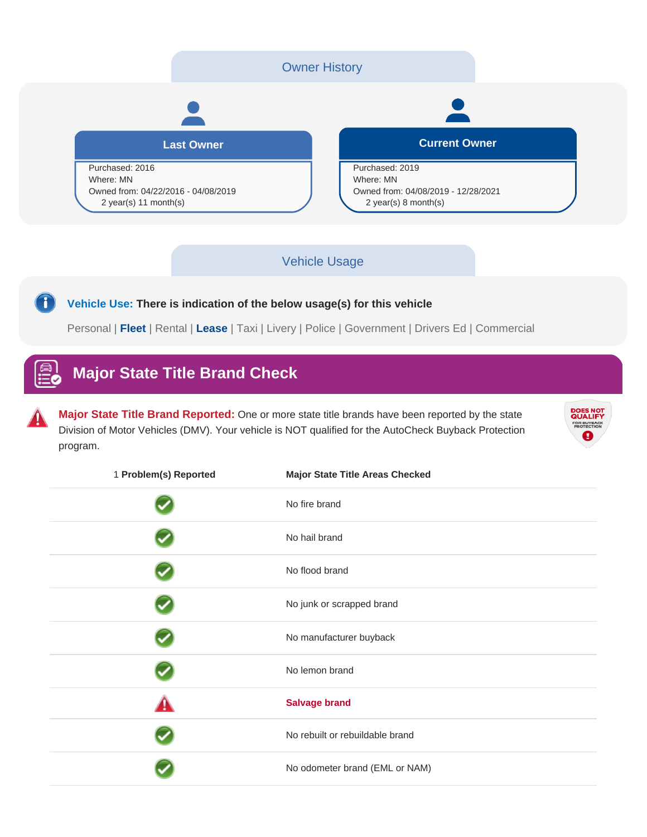

### Vehicle Usage

**Vehicle Use: There is indication of the below usage(s) for this vehicle**

Personal | **Fleet** | Rental | **Lease** | Taxi | Livery | Police | Government | Drivers Ed | Commercial

## **Major State Title Brand Check**

Ŧ

**Major State Title Brand Reported:** One or more state title brands have been reported by the state Division of Motor Vehicles (DMV). Your vehicle is NOT qualified for the AutoCheck Buyback Protection program.



| 1 Problem(s) Reported | <b>Major State Title Areas Checked</b> |
|-----------------------|----------------------------------------|
|                       | No fire brand                          |
|                       | No hail brand                          |
|                       | No flood brand                         |
|                       | No junk or scrapped brand              |
|                       | No manufacturer buyback                |
|                       | No lemon brand                         |
|                       | <b>Salvage brand</b>                   |
|                       | No rebuilt or rebuildable brand        |
|                       | No odometer brand (EML or NAM)         |
|                       |                                        |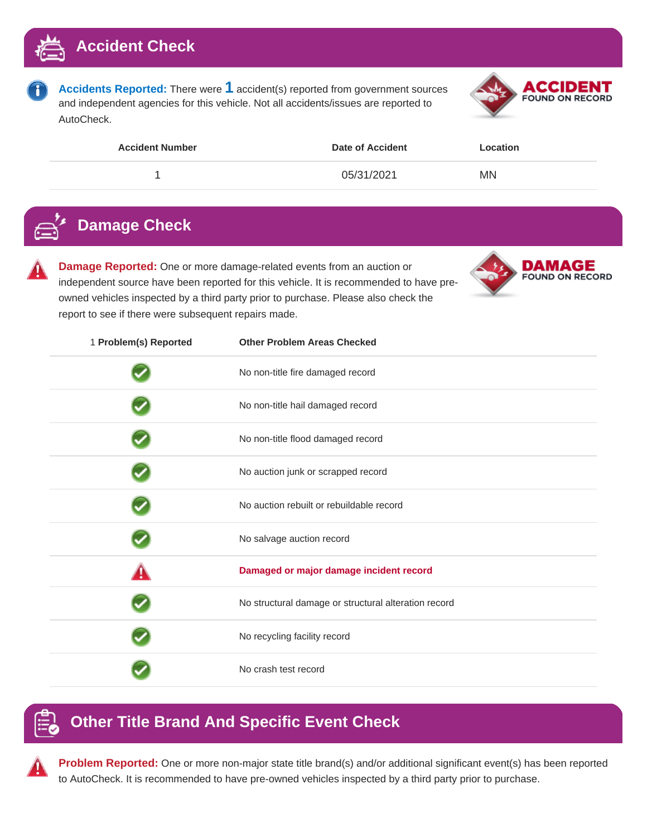

**Accidents Reported:** There were **1** accident(s) reported from government sources and independent agencies for this vehicle. Not all accidents/issues are reported to AutoCheck.



| <b>Accident Number</b> | Date of Accident | Location  |
|------------------------|------------------|-----------|
|                        | 05/31/2021       | <b>MN</b> |

### **Damage Check**

**Damage Reported:** One or more damage-related events from an auction or independent source have been reported for this vehicle. It is recommended to have preowned vehicles inspected by a third party prior to purchase. Please also check the report to see if there were subsequent repairs made.



| 1 Problem(s) Reported | <b>Other Problem Areas Checked</b>                   |
|-----------------------|------------------------------------------------------|
|                       | No non-title fire damaged record                     |
|                       | No non-title hail damaged record                     |
|                       | No non-title flood damaged record                    |
|                       | No auction junk or scrapped record                   |
|                       | No auction rebuilt or rebuildable record             |
|                       | No salvage auction record                            |
|                       | Damaged or major damage incident record              |
|                       | No structural damage or structural alteration record |
|                       | No recycling facility record                         |
|                       | No crash test record                                 |

### **Other Title Brand And Specific Event Check**

**Problem Reported:** One or more non-major state title brand(s) and/or additional significant event(s) has been reported to AutoCheck. It is recommended to have pre-owned vehicles inspected by a third party prior to purchase.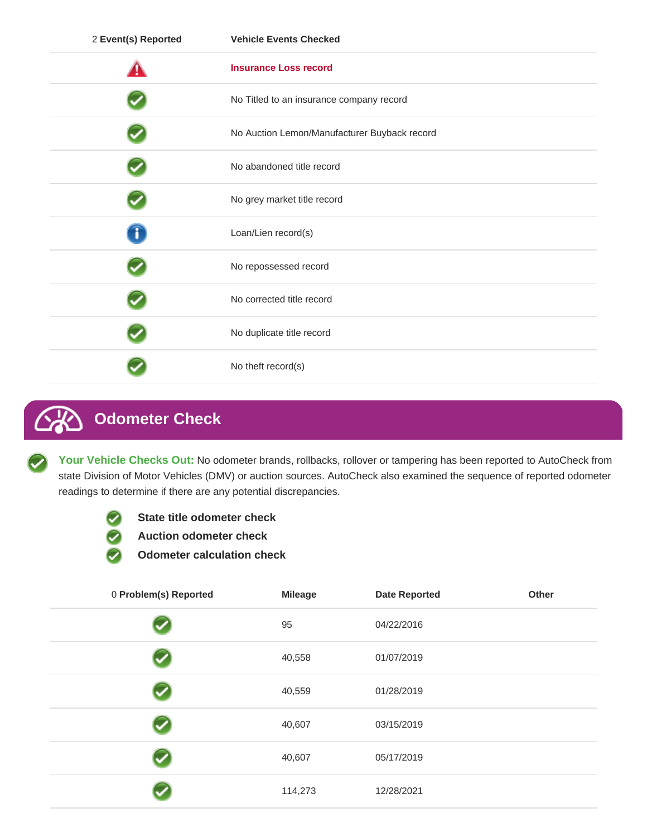| 2 Event(s) Reported | <b>Vehicle Events Checked</b>                |
|---------------------|----------------------------------------------|
|                     | <b>Insurance Loss record</b>                 |
|                     | No Titled to an insurance company record     |
|                     | No Auction Lemon/Manufacturer Buyback record |
|                     | No abandoned title record                    |
|                     | No grey market title record                  |
|                     | Loan/Lien record(s)                          |
|                     | No repossessed record                        |
|                     | No corrected title record                    |
|                     | No duplicate title record                    |
|                     | No theft record(s)                           |

#### **Odometer Check** KS.

**Your Vehicle Checks Out:** No odometer brands, rollbacks, rollover or tampering has been reported to AutoCheck from state Division of Motor Vehicles (DMV) or auction sources. AutoCheck also examined the sequence of reported odometer readings to determine if there are any potential discrepancies.



**State title odometer check**

**Auction odometer check**

**Odometer calculation check**

| 0 Problem(s) Reported | <b>Mileage</b> | <b>Date Reported</b> | Other |
|-----------------------|----------------|----------------------|-------|
|                       | 95             | 04/22/2016           |       |
|                       | 40,558         | 01/07/2019           |       |
|                       | 40,559         | 01/28/2019           |       |
|                       | 40,607         | 03/15/2019           |       |
|                       | 40,607         | 05/17/2019           |       |
|                       | 114,273        | 12/28/2021           |       |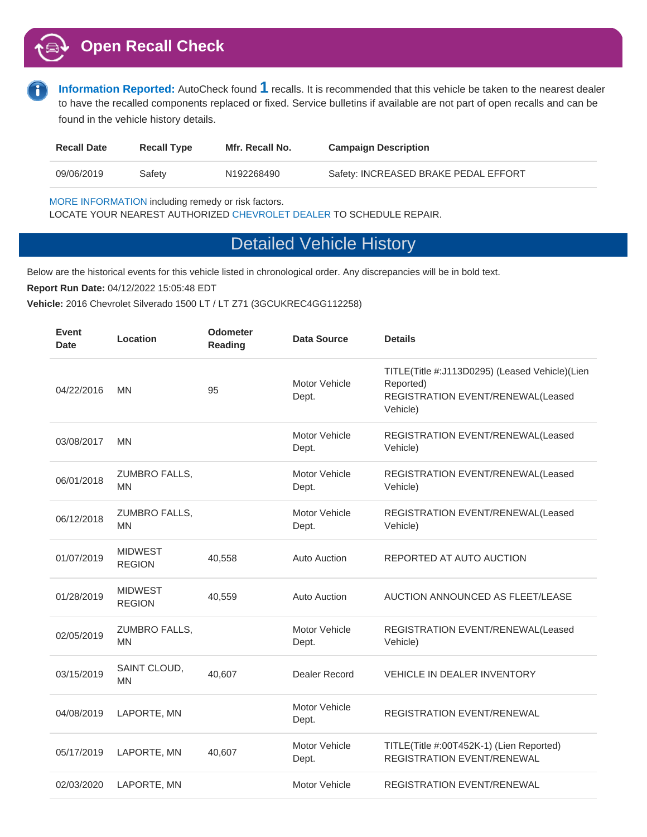

**Information Reported:** AutoCheck found **1** recalls. It is recommended that this vehicle be taken to the nearest dealer to have the recalled components replaced or fixed. Service bulletins if available are not part of open recalls and can be found in the vehicle history details.

| <b>Recall Date</b> | <b>Recall Type</b> | Mfr. Recall No. | <b>Campaign Description</b>          |
|--------------------|--------------------|-----------------|--------------------------------------|
| 09/06/2019         | Safety             | N192268490      | Safety: INCREASED BRAKE PEDAL EFFORT |

MORE INFORMATION including remedy or risk factors.

LOCATE YOUR NEAREST AUTHORIZED CHEVROLET DEALER TO SCHEDULE REPAIR.

### Detailed Vehicle History

Below are the historical events for this vehicle listed in chronological order. Any discrepancies will be in bold text.

**Report Run Date:** 04/12/2022 15:05:48 EDT

**Vehicle:** 2016 Chevrolet Silverado 1500 LT / LT Z71 (3GCUKREC4GG112258)

| Event<br><b>Date</b> | Location                        | <b>Odometer</b><br>Reading | Data Source            | <b>Details</b>                                                                                               |
|----------------------|---------------------------------|----------------------------|------------------------|--------------------------------------------------------------------------------------------------------------|
| 04/22/2016           | <b>MN</b>                       | 95                         | Motor Vehicle<br>Dept. | TITLE(Title #:J113D0295) (Leased Vehicle)(Lien<br>Reported)<br>REGISTRATION EVENT/RENEWAL(Leased<br>Vehicle) |
| 03/08/2017           | <b>MN</b>                       |                            | Motor Vehicle<br>Dept. | REGISTRATION EVENT/RENEWAL(Leased<br>Vehicle)                                                                |
| 06/01/2018           | ZUMBRO FALLS,<br><b>MN</b>      |                            | Motor Vehicle<br>Dept. | REGISTRATION EVENT/RENEWAL(Leased<br>Vehicle)                                                                |
| 06/12/2018           | ZUMBRO FALLS,<br><b>MN</b>      |                            | Motor Vehicle<br>Dept. | REGISTRATION EVENT/RENEWAL(Leased<br>Vehicle)                                                                |
| 01/07/2019           | <b>MIDWEST</b><br><b>REGION</b> | 40,558                     | <b>Auto Auction</b>    | REPORTED AT AUTO AUCTION                                                                                     |
| 01/28/2019           | <b>MIDWEST</b><br><b>REGION</b> | 40,559                     | <b>Auto Auction</b>    | AUCTION ANNOUNCED AS FLEET/LEASE                                                                             |
| 02/05/2019           | ZUMBRO FALLS,<br><b>MN</b>      |                            | Motor Vehicle<br>Dept. | REGISTRATION EVENT/RENEWAL(Leased<br>Vehicle)                                                                |
| 03/15/2019           | SAINT CLOUD,<br><b>MN</b>       | 40.607                     | Dealer Record          | <b>VEHICLE IN DEALER INVENTORY</b>                                                                           |
| 04/08/2019           | LAPORTE, MN                     |                            | Motor Vehicle<br>Dept. | REGISTRATION EVENT/RENEWAL                                                                                   |
| 05/17/2019           | LAPORTE, MN                     | 40,607                     | Motor Vehicle<br>Dept. | TITLE(Title #:00T452K-1) (Lien Reported)<br>REGISTRATION EVENT/RENEWAL                                       |
| 02/03/2020           | LAPORTE, MN                     |                            | Motor Vehicle          | <b>REGISTRATION EVENT/RENEWAL</b>                                                                            |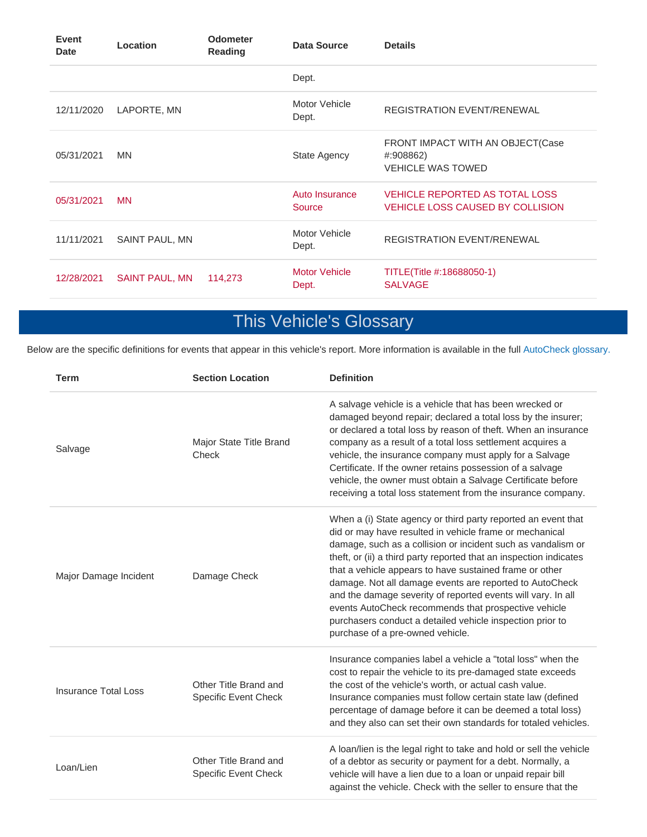| <b>Event</b><br><b>Date</b> | Location              | <b>Odometer</b><br>Reading | Data Source                   | <b>Details</b>                                                                   |
|-----------------------------|-----------------------|----------------------------|-------------------------------|----------------------------------------------------------------------------------|
|                             |                       |                            | Dept.                         |                                                                                  |
| 12/11/2020                  | LAPORTE, MN           |                            | Motor Vehicle<br>Dept.        | <b>REGISTRATION EVENT/RENEWAL</b>                                                |
| 05/31/2021                  | <b>MN</b>             |                            | <b>State Agency</b>           | FRONT IMPACT WITH AN OBJECT(Case<br>#:908862)<br><b>VEHICLE WAS TOWED</b>        |
| 05/31/2021                  | <b>MN</b>             |                            | Auto Insurance<br>Source      | <b>VEHICLE REPORTED AS TOTAL LOSS</b><br><b>VEHICLE LOSS CAUSED BY COLLISION</b> |
| 11/11/2021                  | SAINT PAUL, MN        |                            | Motor Vehicle<br>Dept.        | <b>REGISTRATION EVENT/RENEWAL</b>                                                |
| 12/28/2021                  | <b>SAINT PAUL, MN</b> | 114,273                    | <b>Motor Vehicle</b><br>Dept. | TITLE(Title #:18688050-1)<br><b>SALVAGE</b>                                      |

# This Vehicle's Glossary

Below are the specific definitions for events that appear in this vehicle's report. More information is available in the full AutoCheck glossary.

| <b>Term</b>                 | <b>Section Location</b>                              | <b>Definition</b>                                                                                                                                                                                                                                                                                                                                                                                                                                                                                                                                                                                             |
|-----------------------------|------------------------------------------------------|---------------------------------------------------------------------------------------------------------------------------------------------------------------------------------------------------------------------------------------------------------------------------------------------------------------------------------------------------------------------------------------------------------------------------------------------------------------------------------------------------------------------------------------------------------------------------------------------------------------|
| Salvage                     | Major State Title Brand<br>Check                     | A salvage vehicle is a vehicle that has been wrecked or<br>damaged beyond repair; declared a total loss by the insurer;<br>or declared a total loss by reason of theft. When an insurance<br>company as a result of a total loss settlement acquires a<br>vehicle, the insurance company must apply for a Salvage<br>Certificate. If the owner retains possession of a salvage<br>vehicle, the owner must obtain a Salvage Certificate before<br>receiving a total loss statement from the insurance company.                                                                                                 |
| Major Damage Incident       | Damage Check                                         | When a (i) State agency or third party reported an event that<br>did or may have resulted in vehicle frame or mechanical<br>damage, such as a collision or incident such as vandalism or<br>theft, or (ii) a third party reported that an inspection indicates<br>that a vehicle appears to have sustained frame or other<br>damage. Not all damage events are reported to AutoCheck<br>and the damage severity of reported events will vary. In all<br>events AutoCheck recommends that prospective vehicle<br>purchasers conduct a detailed vehicle inspection prior to<br>purchase of a pre-owned vehicle. |
| <b>Insurance Total Loss</b> | Other Title Brand and<br>Specific Event Check        | Insurance companies label a vehicle a "total loss" when the<br>cost to repair the vehicle to its pre-damaged state exceeds<br>the cost of the vehicle's worth, or actual cash value.<br>Insurance companies must follow certain state law (defined<br>percentage of damage before it can be deemed a total loss)<br>and they also can set their own standards for totaled vehicles.                                                                                                                                                                                                                           |
| Loan/Lien                   | Other Title Brand and<br><b>Specific Event Check</b> | A loan/lien is the legal right to take and hold or sell the vehicle<br>of a debtor as security or payment for a debt. Normally, a<br>vehicle will have a lien due to a loan or unpaid repair bill<br>against the vehicle. Check with the seller to ensure that the                                                                                                                                                                                                                                                                                                                                            |